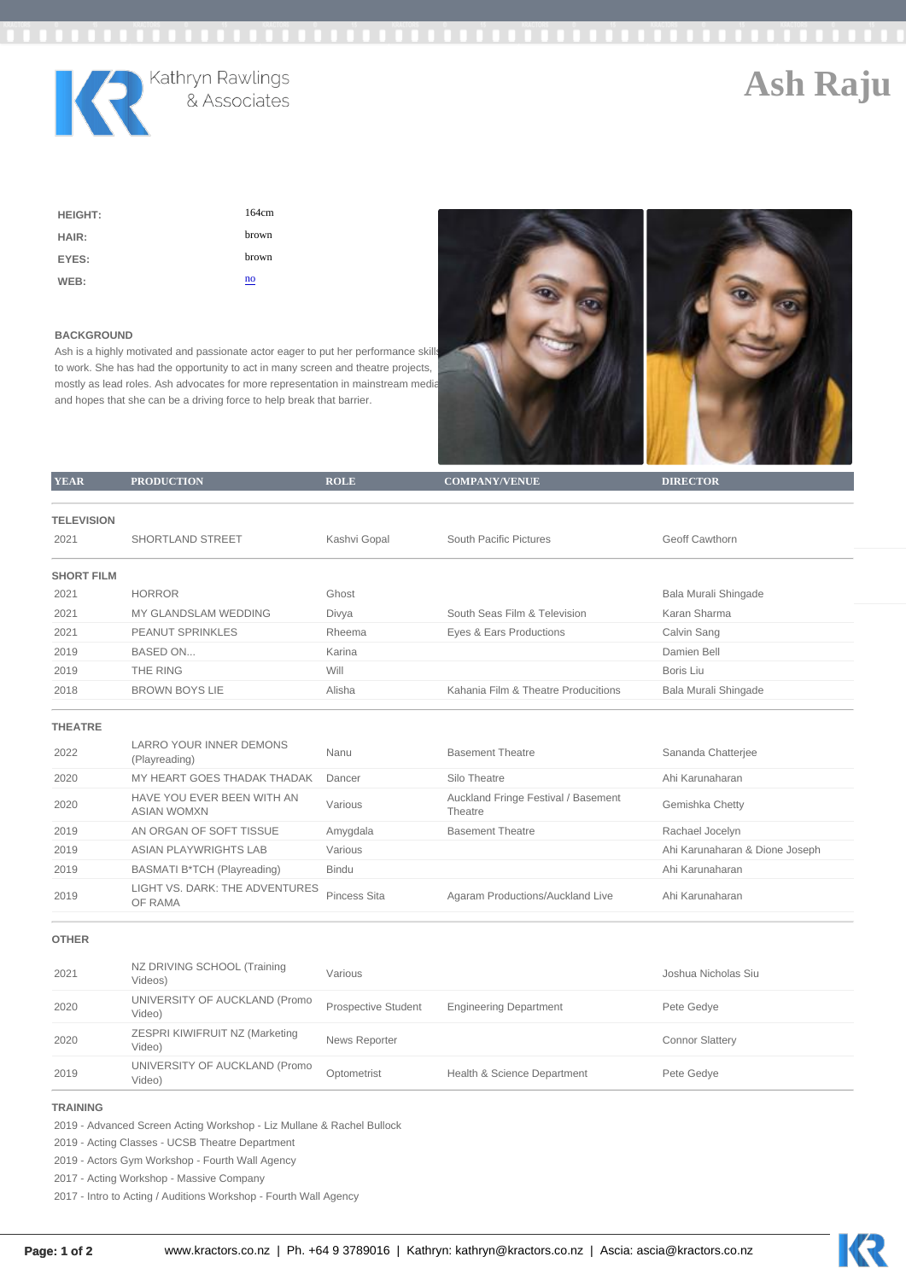| <b>HEIGHT:</b> | 164cm |
|----------------|-------|
| HAIR:          | brown |
| EYES:          | brown |
| WEB:           | no    |

## BACKGROUND

Ash is a highly motivated and passionate actor eager to put her performance skills to work. She has had the opportunity to act in many screen and theatre projects, mostly as lead roles. Ash advocates for more representation in mainstream media and hopes that she can be a driving force to help break that barrier.

| <b>YEAR</b>       | <b>PRODUCTION</b>                                | <b>ROLE</b>                | COMPANY/VENUE                                  | <b>DIRECTOR</b>                |
|-------------------|--------------------------------------------------|----------------------------|------------------------------------------------|--------------------------------|
|                   |                                                  |                            |                                                |                                |
| <b>TELEVISION</b> |                                                  |                            |                                                |                                |
| 2021              | SHORTLAND STREET                                 | Kashvi Gopal               | South Pacific Pictures                         | Geoff Cawthorn                 |
| <b>SHORT FILM</b> |                                                  |                            |                                                |                                |
| 2021              | <b>HORROR</b>                                    | Ghost                      |                                                | Bala Murali Shingade           |
| 2021              | MY GLANDSLAM WEDDING                             | Divya                      | South Seas Film & Television                   | Karan Sharma                   |
| 2021              | PEANUT SPRINKLES                                 | Rheema                     | Eyes & Ears Productions                        | Calvin Sang                    |
| 2019              | BASED ON                                         | Karina                     |                                                | Damien Bell                    |
| 2019              | THE RING                                         | Will                       |                                                | Boris Liu                      |
| 2018              | <b>BROWN BOYS LIE</b>                            | Alisha                     | Kahania Film & Theatre Producitions            | Bala Murali Shingade           |
| <b>THEATRE</b>    |                                                  |                            |                                                |                                |
| 2022              | <b>LARRO YOUR INNER DEMONS</b><br>(Playreading)  | Nanu                       | <b>Basement Theatre</b>                        | Sananda Chatterjee             |
| 2020              | MY HEART GOES THADAK THADAK                      | Dancer                     | Silo Theatre                                   | Ahi Karunaharan                |
| 2020              | HAVE YOU EVER BEEN WITH AN<br><b>ASIAN WOMXN</b> | Various                    | Auckland Fringe Festival / Basement<br>Theatre | Gemishka Chetty                |
| 2019              | AN ORGAN OF SOFT TISSUE                          | Amygdala                   | <b>Basement Theatre</b>                        | Rachael Jocelyn                |
| 2019              | <b>ASIAN PLAYWRIGHTS LAB</b>                     | Various                    |                                                | Ahi Karunaharan & Dione Joseph |
| 2019              | BASMATI B*TCH (Playreading)                      | <b>Bindu</b>               |                                                | Ahi Karunaharan                |
| 2019              | LIGHT VS. DARK: THE ADVENTURES<br>OF RAMA        | Pincess Sita               | Agaram Productions/Auckland Live               | Ahi Karunaharan                |
| <b>OTHER</b>      |                                                  |                            |                                                |                                |
| 2021              | NZ DRIVING SCHOOL (Training<br>Videos)           | Various                    |                                                | Joshua Nicholas Siu            |
| 2020              | UNIVERSITY OF AUCKLAND (Promo<br>Video)          | <b>Prospective Student</b> | <b>Engineering Department</b>                  | Pete Gedye                     |
| 2020              | ZESPRI KIWIFRUIT NZ (Marketing<br>Video)         | News Reporter              |                                                | <b>Connor Slattery</b>         |
| 2019              | UNIVERSITY OF AUCKLAND (Promo<br>Video)          | Optometrist                | Health & Science Department                    | Pete Gedye                     |
| <b>TRAINING</b>   |                                                  |                            |                                                |                                |

2019 - Advanced Screen Acting Workshop - Liz Mullane & Rachel Bullock

2019 - Acting Classes - UCSB Theatre Department

2019 - Actors Gym Workshop - Fourth Wall Agency

2017 - Acting Workshop - Massive Company

2017 - Intro to Acting / Auditions Workshop - Fourth Wall Agency